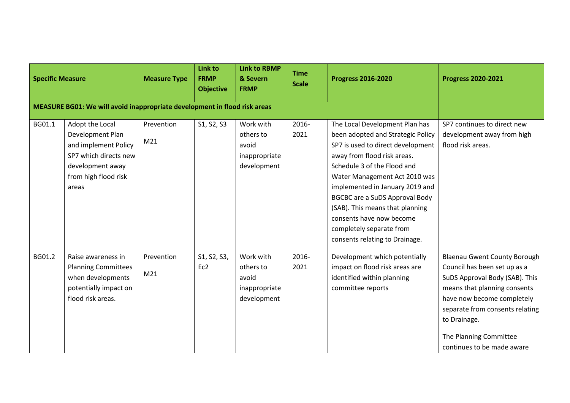| <b>Specific Measure</b> |                                                                                                                                           | <b>Measure Type</b> | <b>Link to</b><br><b>FRMP</b><br><b>Objective</b> | <b>Link to RBMP</b><br>& Severn<br><b>FRMP</b>                  | <b>Time</b><br><b>Scale</b> | <b>Progress 2016-2020</b>                                                                                                                                                                                                                                                                                                                                                                                        | <b>Progress 2020-2021</b>                                                                                                                                                                                                                                                      |
|-------------------------|-------------------------------------------------------------------------------------------------------------------------------------------|---------------------|---------------------------------------------------|-----------------------------------------------------------------|-----------------------------|------------------------------------------------------------------------------------------------------------------------------------------------------------------------------------------------------------------------------------------------------------------------------------------------------------------------------------------------------------------------------------------------------------------|--------------------------------------------------------------------------------------------------------------------------------------------------------------------------------------------------------------------------------------------------------------------------------|
|                         | MEASURE BG01: We will avoid inappropriate development in flood risk areas                                                                 |                     |                                                   |                                                                 |                             |                                                                                                                                                                                                                                                                                                                                                                                                                  |                                                                                                                                                                                                                                                                                |
| BG01.1                  | Adopt the Local<br>Development Plan<br>and implement Policy<br>SP7 which directs new<br>development away<br>from high flood risk<br>areas | Prevention<br>M21   | S1, S2, S3                                        | Work with<br>others to<br>avoid<br>inappropriate<br>development | 2016-<br>2021               | The Local Development Plan has<br>been adopted and Strategic Policy<br>SP7 is used to direct development<br>away from flood risk areas.<br>Schedule 3 of the Flood and<br>Water Management Act 2010 was<br>implemented in January 2019 and<br><b>BGCBC are a SuDS Approval Body</b><br>(SAB). This means that planning<br>consents have now become<br>completely separate from<br>consents relating to Drainage. | SP7 continues to direct new<br>development away from high<br>flood risk areas.                                                                                                                                                                                                 |
| BG01.2                  | Raise awareness in<br><b>Planning Committees</b><br>when developments<br>potentially impact on<br>flood risk areas.                       | Prevention<br>M21   | S1, S2, S3,<br>Ec2                                | Work with<br>others to<br>avoid<br>inappropriate<br>development | 2016-<br>2021               | Development which potentially<br>impact on flood risk areas are<br>identified within planning<br>committee reports                                                                                                                                                                                                                                                                                               | <b>Blaenau Gwent County Borough</b><br>Council has been set up as a<br>SuDS Approval Body (SAB). This<br>means that planning consents<br>have now become completely<br>separate from consents relating<br>to Drainage.<br>The Planning Committee<br>continues to be made aware |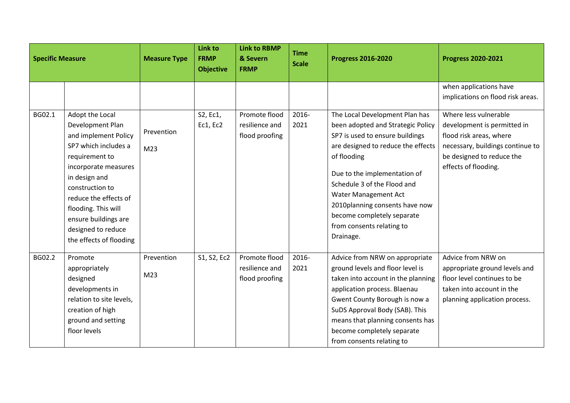| <b>Specific Measure</b> |                                                                                                                                                                                                                                                                                            | <b>Measure Type</b>           | <b>Link to</b><br><b>FRMP</b><br><b>Objective</b> | <b>Link to RBMP</b><br>& Severn<br><b>FRMP</b>    | <b>Time</b><br><b>Scale</b> | <b>Progress 2016-2020</b>                                                                                                                                                                                                                                                                                                                                    | <b>Progress 2020-2021</b>                                                                                                                                                |
|-------------------------|--------------------------------------------------------------------------------------------------------------------------------------------------------------------------------------------------------------------------------------------------------------------------------------------|-------------------------------|---------------------------------------------------|---------------------------------------------------|-----------------------------|--------------------------------------------------------------------------------------------------------------------------------------------------------------------------------------------------------------------------------------------------------------------------------------------------------------------------------------------------------------|--------------------------------------------------------------------------------------------------------------------------------------------------------------------------|
|                         |                                                                                                                                                                                                                                                                                            |                               |                                                   |                                                   |                             |                                                                                                                                                                                                                                                                                                                                                              | when applications have<br>implications on flood risk areas.                                                                                                              |
| BG02.1                  | Adopt the Local<br>Development Plan<br>and implement Policy<br>SP7 which includes a<br>requirement to<br>incorporate measures<br>in design and<br>construction to<br>reduce the effects of<br>flooding. This will<br>ensure buildings are<br>designed to reduce<br>the effects of flooding | Prevention<br>M <sub>23</sub> | S2, Ec1,<br>Ec1, Ec2                              | Promote flood<br>resilience and<br>flood proofing | 2016-<br>2021               | The Local Development Plan has<br>been adopted and Strategic Policy<br>SP7 is used to ensure buildings<br>are designed to reduce the effects<br>of flooding<br>Due to the implementation of<br>Schedule 3 of the Flood and<br>Water Management Act<br>2010planning consents have now<br>become completely separate<br>from consents relating to<br>Drainage. | Where less vulnerable<br>development is permitted in<br>flood risk areas, where<br>necessary, buildings continue to<br>be designed to reduce the<br>effects of flooding. |
| BG02.2                  | Promote<br>appropriately<br>designed<br>developments in<br>relation to site levels,<br>creation of high<br>ground and setting<br>floor levels                                                                                                                                              | Prevention<br>M23             | S1, S2, Ec2                                       | Promote flood<br>resilience and<br>flood proofing | 2016-<br>2021               | Advice from NRW on appropriate<br>ground levels and floor level is<br>taken into account in the planning<br>application process. Blaenau<br>Gwent County Borough is now a<br>SuDS Approval Body (SAB). This<br>means that planning consents has<br>become completely separate<br>from consents relating to                                                   | Advice from NRW on<br>appropriate ground levels and<br>floor level continues to be<br>taken into account in the<br>planning application process.                         |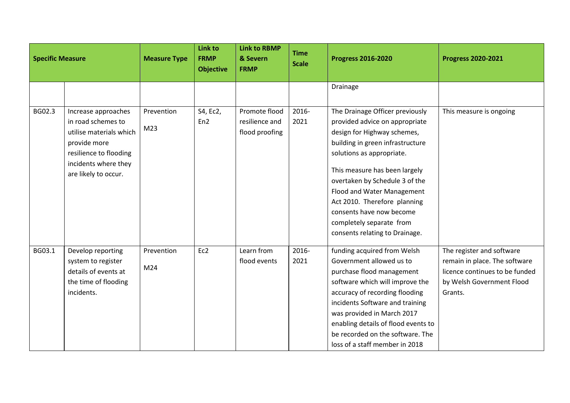| <b>Specific Measure</b> |                                                                                                                                                                | <b>Measure Type</b>           | Link to<br><b>FRMP</b><br><b>Objective</b> | <b>Link to RBMP</b><br>& Severn<br><b>FRMP</b>    | <b>Time</b><br><b>Scale</b> | <b>Progress 2016-2020</b>                                                                                                                                                                                                                                                                                                                                                                    | <b>Progress 2020-2021</b>                                                                                                            |
|-------------------------|----------------------------------------------------------------------------------------------------------------------------------------------------------------|-------------------------------|--------------------------------------------|---------------------------------------------------|-----------------------------|----------------------------------------------------------------------------------------------------------------------------------------------------------------------------------------------------------------------------------------------------------------------------------------------------------------------------------------------------------------------------------------------|--------------------------------------------------------------------------------------------------------------------------------------|
|                         |                                                                                                                                                                |                               |                                            |                                                   |                             | Drainage                                                                                                                                                                                                                                                                                                                                                                                     |                                                                                                                                      |
| BG02.3                  | Increase approaches<br>in road schemes to<br>utilise materials which<br>provide more<br>resilience to flooding<br>incidents where they<br>are likely to occur. | Prevention<br>M23             | S4, Ec2,<br>En <sub>2</sub>                | Promote flood<br>resilience and<br>flood proofing | 2016-<br>2021               | The Drainage Officer previously<br>provided advice on appropriate<br>design for Highway schemes,<br>building in green infrastructure<br>solutions as appropriate.<br>This measure has been largely<br>overtaken by Schedule 3 of the<br>Flood and Water Management<br>Act 2010. Therefore planning<br>consents have now become<br>completely separate from<br>consents relating to Drainage. | This measure is ongoing                                                                                                              |
| BG03.1                  | Develop reporting<br>system to register<br>details of events at<br>the time of flooding<br>incidents.                                                          | Prevention<br>M <sub>24</sub> | Ec2                                        | Learn from<br>flood events                        | 2016-<br>2021               | funding acquired from Welsh<br>Government allowed us to<br>purchase flood management<br>software which will improve the<br>accuracy of recording flooding<br>incidents Software and training<br>was provided in March 2017<br>enabling details of flood events to<br>be recorded on the software. The<br>loss of a staff member in 2018                                                      | The register and software<br>remain in place. The software<br>licence continues to be funded<br>by Welsh Government Flood<br>Grants. |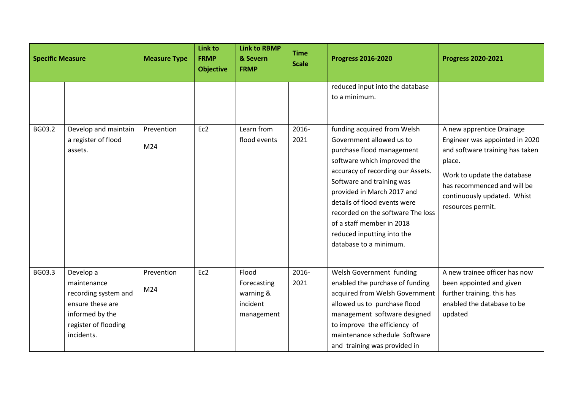| <b>Specific Measure</b> |                                                                                                                               | <b>Measure Type</b>           | <b>Link to</b><br><b>FRMP</b><br><b>Objective</b> | <b>Link to RBMP</b><br>& Severn<br><b>FRMP</b>              | <b>Time</b><br><b>Scale</b> | <b>Progress 2016-2020</b>                                                                                                                                                                                                                                                                                                                                                     | <b>Progress 2020-2021</b>                                                                                                                                                                                                  |
|-------------------------|-------------------------------------------------------------------------------------------------------------------------------|-------------------------------|---------------------------------------------------|-------------------------------------------------------------|-----------------------------|-------------------------------------------------------------------------------------------------------------------------------------------------------------------------------------------------------------------------------------------------------------------------------------------------------------------------------------------------------------------------------|----------------------------------------------------------------------------------------------------------------------------------------------------------------------------------------------------------------------------|
|                         |                                                                                                                               |                               |                                                   |                                                             |                             | reduced input into the database<br>to a minimum.                                                                                                                                                                                                                                                                                                                              |                                                                                                                                                                                                                            |
| BG03.2                  | Develop and maintain<br>a register of flood<br>assets.                                                                        | Prevention<br>M24             | Ec2                                               | Learn from<br>flood events                                  | 2016-<br>2021               | funding acquired from Welsh<br>Government allowed us to<br>purchase flood management<br>software which improved the<br>accuracy of recording our Assets.<br>Software and training was<br>provided in March 2017 and<br>details of flood events were<br>recorded on the software The loss<br>of a staff member in 2018<br>reduced inputting into the<br>database to a minimum. | A new apprentice Drainage<br>Engineer was appointed in 2020<br>and software training has taken<br>place.<br>Work to update the database<br>has recommenced and will be<br>continuously updated. Whist<br>resources permit. |
| BG03.3                  | Develop a<br>maintenance<br>recording system and<br>ensure these are<br>informed by the<br>register of flooding<br>incidents. | Prevention<br>M <sub>24</sub> | Ec2                                               | Flood<br>Forecasting<br>warning &<br>incident<br>management | 2016-<br>2021               | Welsh Government funding<br>enabled the purchase of funding<br>acquired from Welsh Government<br>allowed us to purchase flood<br>management software designed<br>to improve the efficiency of<br>maintenance schedule Software<br>and training was provided in                                                                                                                | A new trainee officer has now<br>been appointed and given<br>further training. this has<br>enabled the database to be<br>updated                                                                                           |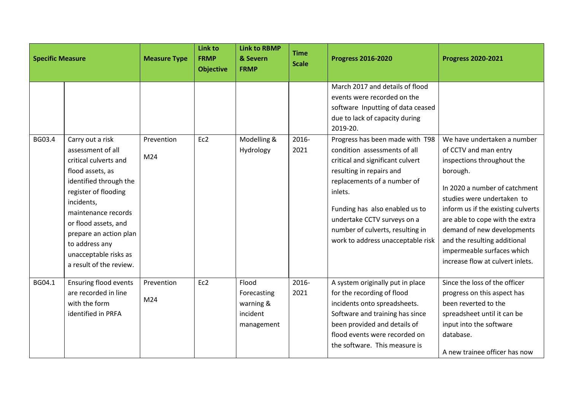| <b>Specific Measure</b> |                                                                                                                                                                                                                                                          | <b>Measure Type</b>           | <b>Link to</b><br><b>FRMP</b><br><b>Objective</b> | <b>Link to RBMP</b><br>& Severn<br><b>FRMP</b>              | <b>Time</b><br><b>Scale</b> | <b>Progress 2016-2020</b>                                                                                                                                                                                                                        | <b>Progress 2020-2021</b>                                                                                                                                                                                                                                                                                      |
|-------------------------|----------------------------------------------------------------------------------------------------------------------------------------------------------------------------------------------------------------------------------------------------------|-------------------------------|---------------------------------------------------|-------------------------------------------------------------|-----------------------------|--------------------------------------------------------------------------------------------------------------------------------------------------------------------------------------------------------------------------------------------------|----------------------------------------------------------------------------------------------------------------------------------------------------------------------------------------------------------------------------------------------------------------------------------------------------------------|
| BG03.4                  | Carry out a risk<br>assessment of all                                                                                                                                                                                                                    | Prevention                    | Ec2                                               | Modelling &<br>Hydrology                                    | 2016-<br>2021               | March 2017 and details of flood<br>events were recorded on the<br>software Inputting of data ceased<br>due to lack of capacity during<br>2019-20.<br>Progress has been made with T98<br>condition assessments of all                             | We have undertaken a number<br>of CCTV and man entry                                                                                                                                                                                                                                                           |
|                         | critical culverts and<br>flood assets, as<br>identified through the<br>register of flooding<br>incidents,<br>maintenance records<br>or flood assets, and<br>prepare an action plan<br>to address any<br>unacceptable risks as<br>a result of the review. | M24                           |                                                   |                                                             |                             | critical and significant culvert<br>resulting in repairs and<br>replacements of a number of<br>inlets.<br>Funding has also enabled us to<br>undertake CCTV surveys on a<br>number of culverts, resulting in<br>work to address unacceptable risk | inspections throughout the<br>borough.<br>In 2020 a number of catchment<br>studies were undertaken to<br>inform us if the existing culverts<br>are able to cope with the extra<br>demand of new developments<br>and the resulting additional<br>impermeable surfaces which<br>increase flow at culvert inlets. |
| BG04.1                  | Ensuring flood events<br>are recorded in line<br>with the form<br>identified in PRFA                                                                                                                                                                     | Prevention<br>M <sub>24</sub> | Ec2                                               | Flood<br>Forecasting<br>warning &<br>incident<br>management | 2016-<br>2021               | A system originally put in place<br>for the recording of flood<br>incidents onto spreadsheets.<br>Software and training has since<br>been provided and details of<br>flood events were recorded on<br>the software. This measure is              | Since the loss of the officer<br>progress on this aspect has<br>been reverted to the<br>spreadsheet until it can be<br>input into the software<br>database.<br>A new trainee officer has now                                                                                                                   |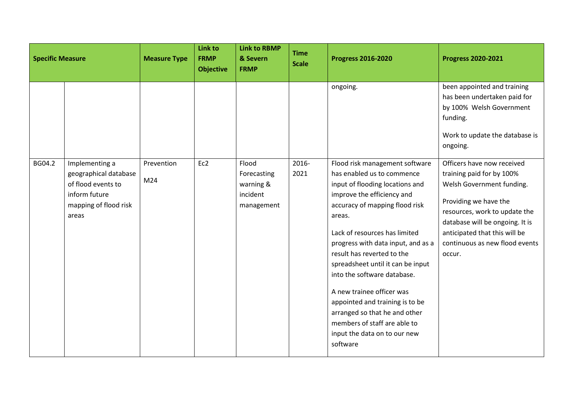| <b>Specific Measure</b> |                                                                                                                  | <b>Measure Type</b> | Link to<br><b>FRMP</b><br><b>Objective</b> | <b>Link to RBMP</b><br>& Severn<br><b>FRMP</b>              | <b>Time</b><br><b>Scale</b> | <b>Progress 2016-2020</b>                                                                                                                                                                                                                                                                                                                                                                                                                                                                                                       | <b>Progress 2020-2021</b>                                                                                                                                                                                                                                      |
|-------------------------|------------------------------------------------------------------------------------------------------------------|---------------------|--------------------------------------------|-------------------------------------------------------------|-----------------------------|---------------------------------------------------------------------------------------------------------------------------------------------------------------------------------------------------------------------------------------------------------------------------------------------------------------------------------------------------------------------------------------------------------------------------------------------------------------------------------------------------------------------------------|----------------------------------------------------------------------------------------------------------------------------------------------------------------------------------------------------------------------------------------------------------------|
|                         |                                                                                                                  |                     |                                            |                                                             |                             | ongoing.                                                                                                                                                                                                                                                                                                                                                                                                                                                                                                                        | been appointed and training<br>has been undertaken paid for<br>by 100% Welsh Government<br>funding.<br>Work to update the database is<br>ongoing.                                                                                                              |
| BG04.2                  | Implementing a<br>geographical database<br>of flood events to<br>inform future<br>mapping of flood risk<br>areas | Prevention<br>M24   | Ec2                                        | Flood<br>Forecasting<br>warning &<br>incident<br>management | 2016-<br>2021               | Flood risk management software<br>has enabled us to commence<br>input of flooding locations and<br>improve the efficiency and<br>accuracy of mapping flood risk<br>areas.<br>Lack of resources has limited<br>progress with data input, and as a<br>result has reverted to the<br>spreadsheet until it can be input<br>into the software database.<br>A new trainee officer was<br>appointed and training is to be<br>arranged so that he and other<br>members of staff are able to<br>input the data on to our new<br>software | Officers have now received<br>training paid for by 100%<br>Welsh Government funding.<br>Providing we have the<br>resources, work to update the<br>database will be ongoing. It is<br>anticipated that this will be<br>continuous as new flood events<br>occur. |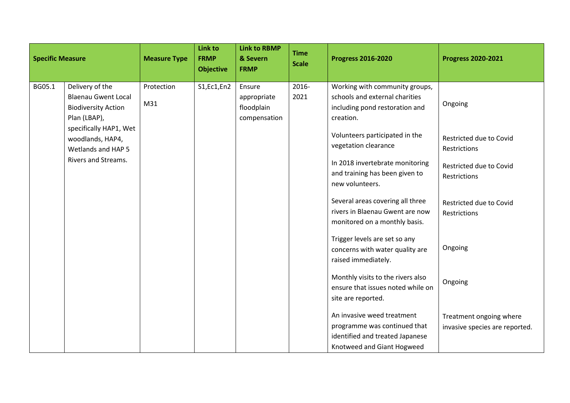| <b>Specific Measure</b> |                                                                                                                                                                 | <b>Measure Type</b> | <b>Link to</b><br><b>FRMP</b><br><b>Objective</b> | <b>Link to RBMP</b><br>& Severn<br><b>FRMP</b>      | <b>Time</b><br><b>Scale</b> | <b>Progress 2016-2020</b>                                                                                                                                                 | <b>Progress 2020-2021</b>                                 |
|-------------------------|-----------------------------------------------------------------------------------------------------------------------------------------------------------------|---------------------|---------------------------------------------------|-----------------------------------------------------|-----------------------------|---------------------------------------------------------------------------------------------------------------------------------------------------------------------------|-----------------------------------------------------------|
| BG05.1                  | Delivery of the<br><b>Blaenau Gwent Local</b><br><b>Biodiversity Action</b><br>Plan (LBAP),<br>specifically HAP1, Wet<br>woodlands, HAP4,<br>Wetlands and HAP 5 | Protection<br>M31   | S1, Ec1, En2                                      | Ensure<br>appropriate<br>floodplain<br>compensation | 2016-<br>2021               | Working with community groups,<br>schools and external charities<br>including pond restoration and<br>creation.<br>Volunteers participated in the<br>vegetation clearance | Ongoing<br>Restricted due to Covid<br>Restrictions        |
|                         | Rivers and Streams.                                                                                                                                             |                     |                                                   |                                                     |                             | In 2018 invertebrate monitoring<br>and training has been given to<br>new volunteers.                                                                                      | Restricted due to Covid<br>Restrictions                   |
|                         |                                                                                                                                                                 |                     |                                                   |                                                     |                             | Several areas covering all three<br>rivers in Blaenau Gwent are now<br>monitored on a monthly basis.                                                                      | Restricted due to Covid<br>Restrictions                   |
|                         |                                                                                                                                                                 |                     |                                                   |                                                     |                             | Trigger levels are set so any<br>concerns with water quality are<br>raised immediately.                                                                                   | Ongoing                                                   |
|                         |                                                                                                                                                                 |                     |                                                   |                                                     |                             | Monthly visits to the rivers also<br>ensure that issues noted while on<br>site are reported.                                                                              | Ongoing                                                   |
|                         |                                                                                                                                                                 |                     |                                                   |                                                     |                             | An invasive weed treatment<br>programme was continued that<br>identified and treated Japanese<br>Knotweed and Giant Hogweed                                               | Treatment ongoing where<br>invasive species are reported. |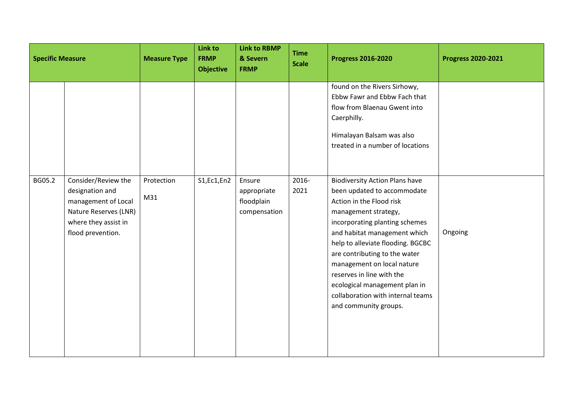| <b>Specific Measure</b> |                                                                                                                                     | <b>Measure Type</b> | Link to<br><b>FRMP</b><br><b>Objective</b> | <b>Link to RBMP</b><br>& Severn<br><b>FRMP</b>      | <b>Time</b><br><b>Scale</b> | <b>Progress 2016-2020</b>                                                                                                                                                                                                                                                                                                                                                                                                  | <b>Progress 2020-2021</b> |
|-------------------------|-------------------------------------------------------------------------------------------------------------------------------------|---------------------|--------------------------------------------|-----------------------------------------------------|-----------------------------|----------------------------------------------------------------------------------------------------------------------------------------------------------------------------------------------------------------------------------------------------------------------------------------------------------------------------------------------------------------------------------------------------------------------------|---------------------------|
|                         |                                                                                                                                     |                     |                                            |                                                     |                             | found on the Rivers Sirhowy,<br>Ebbw Fawr and Ebbw Fach that<br>flow from Blaenau Gwent into<br>Caerphilly.<br>Himalayan Balsam was also<br>treated in a number of locations                                                                                                                                                                                                                                               |                           |
| BG05.2                  | Consider/Review the<br>designation and<br>management of Local<br>Nature Reserves (LNR)<br>where they assist in<br>flood prevention. | Protection<br>M31   | S1, Ec1, En2                               | Ensure<br>appropriate<br>floodplain<br>compensation | 2016-<br>2021               | <b>Biodiversity Action Plans have</b><br>been updated to accommodate<br>Action in the Flood risk<br>management strategy,<br>incorporating planting schemes<br>and habitat management which<br>help to alleviate flooding. BGCBC<br>are contributing to the water<br>management on local nature<br>reserves in line with the<br>ecological management plan in<br>collaboration with internal teams<br>and community groups. | Ongoing                   |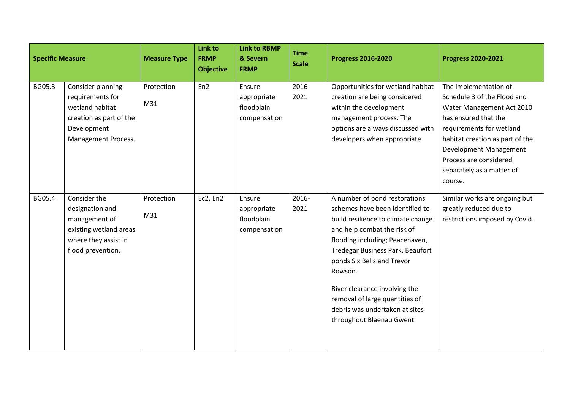| <b>Specific Measure</b> |                                                                                                                           | <b>Measure Type</b> | Link to<br><b>FRMP</b><br><b>Objective</b> | <b>Link to RBMP</b><br>& Severn<br><b>FRMP</b>      | <b>Time</b><br><b>Scale</b> | <b>Progress 2016-2020</b>                                                                                                                                                                                                                                                                                                                                                               | <b>Progress 2020-2021</b>                                                                                                                                                                                                                                            |
|-------------------------|---------------------------------------------------------------------------------------------------------------------------|---------------------|--------------------------------------------|-----------------------------------------------------|-----------------------------|-----------------------------------------------------------------------------------------------------------------------------------------------------------------------------------------------------------------------------------------------------------------------------------------------------------------------------------------------------------------------------------------|----------------------------------------------------------------------------------------------------------------------------------------------------------------------------------------------------------------------------------------------------------------------|
| BG05.3                  | Consider planning<br>requirements for<br>wetland habitat<br>creation as part of the<br>Development<br>Management Process. | Protection<br>M31   | En <sub>2</sub>                            | Ensure<br>appropriate<br>floodplain<br>compensation | 2016-<br>2021               | Opportunities for wetland habitat<br>creation are being considered<br>within the development<br>management process. The<br>options are always discussed with<br>developers when appropriate.                                                                                                                                                                                            | The implementation of<br>Schedule 3 of the Flood and<br>Water Management Act 2010<br>has ensured that the<br>requirements for wetland<br>habitat creation as part of the<br>Development Management<br>Process are considered<br>separately as a matter of<br>course. |
| BG05.4                  | Consider the<br>designation and<br>management of<br>existing wetland areas<br>where they assist in<br>flood prevention.   | Protection<br>M31   | Ec2, En2                                   | Ensure<br>appropriate<br>floodplain<br>compensation | 2016-<br>2021               | A number of pond restorations<br>schemes have been identified to<br>build resilience to climate change<br>and help combat the risk of<br>flooding including; Peacehaven,<br>Tredegar Business Park, Beaufort<br>ponds Six Bells and Trevor<br>Rowson.<br>River clearance involving the<br>removal of large quantities of<br>debris was undertaken at sites<br>throughout Blaenau Gwent. | Similar works are ongoing but<br>greatly reduced due to<br>restrictions imposed by Covid.                                                                                                                                                                            |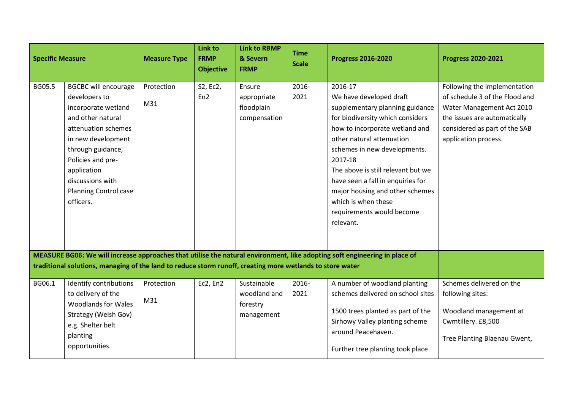| <b>Specific Measure</b> |                                                                                                                                                                                                                                                                 | <b>Measure Type</b>           | Link to<br><b>FRMP</b><br><b>Objective</b> | <b>Link to RBMP</b><br>& Severn<br><b>FRMP</b>        | <b>Time</b><br><b>Scale</b> | <b>Progress 2016-2020</b>                                                                                                                                                                                                                                                                                                                                                                          | <b>Progress 2020-2021</b>                                                                                                                                                            |
|-------------------------|-----------------------------------------------------------------------------------------------------------------------------------------------------------------------------------------------------------------------------------------------------------------|-------------------------------|--------------------------------------------|-------------------------------------------------------|-----------------------------|----------------------------------------------------------------------------------------------------------------------------------------------------------------------------------------------------------------------------------------------------------------------------------------------------------------------------------------------------------------------------------------------------|--------------------------------------------------------------------------------------------------------------------------------------------------------------------------------------|
| BG05.5                  | <b>BGCBC will encourage</b><br>developers to<br>incorporate wetland<br>and other natural<br>attenuation schemes<br>in new development<br>through guidance,<br>Policies and pre-<br>application<br>discussions with<br><b>Planning Control case</b><br>officers. | Protection<br>M <sub>31</sub> | S2, Ec2,<br>En <sub>2</sub>                | Ensure<br>appropriate<br>floodplain<br>compensation   | 2016-<br>2021               | 2016-17<br>We have developed draft<br>supplementary planning guidance<br>for biodiversity which considers<br>how to incorporate wetland and<br>other natural attenuation<br>schemes in new developments.<br>2017-18<br>The above is still relevant but we<br>have seen a fall in enquiries for<br>major housing and other schemes<br>which is when these<br>requirements would become<br>relevant. | Following the implementation<br>of schedule 3 of the Flood and<br>Water Management Act 2010<br>the issues are automatically<br>considered as part of the SAB<br>application process. |
|                         | traditional solutions, managing of the land to reduce storm runoff, creating more wetlands to store water                                                                                                                                                       |                               |                                            |                                                       |                             | MEASURE BG06: We will increase approaches that utilise the natural environment, like adopting soft engineering in place of                                                                                                                                                                                                                                                                         |                                                                                                                                                                                      |
| BG06.1                  | Identify contributions<br>to delivery of the<br><b>Woodlands for Wales</b><br>Strategy (Welsh Gov)<br>e.g. Shelter belt<br>planting<br>opportunities.                                                                                                           | Protection<br>M31             | Ec2, En2                                   | Sustainable<br>woodland and<br>forestry<br>management | 2016-<br>2021               | A number of woodland planting<br>schemes delivered on school sites<br>1500 trees planted as part of the<br>Sirhowy Valley planting scheme<br>around Peacehaven.<br>Further tree planting took place                                                                                                                                                                                                | Schemes delivered on the<br>following sites:<br>Woodland management at<br>Cwmtillery. £8,500<br>Tree Planting Blaenau Gwent,                                                         |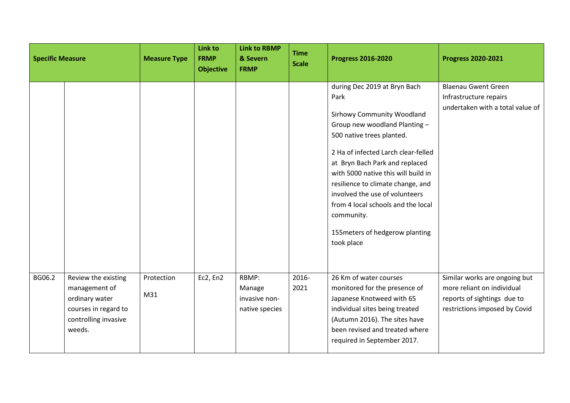| <b>Specific Measure</b> |                                                                                                                  | <b>Measure Type</b> | <b>Link to</b><br><b>FRMP</b><br><b>Objective</b> | <b>Link to RBMP</b><br>& Severn<br><b>FRMP</b>     | <b>Time</b><br><b>Scale</b> | <b>Progress 2016-2020</b>                                                                                                                                                                                                                                                                                                                                                                                                           | <b>Progress 2020-2021</b>                                                                                                   |
|-------------------------|------------------------------------------------------------------------------------------------------------------|---------------------|---------------------------------------------------|----------------------------------------------------|-----------------------------|-------------------------------------------------------------------------------------------------------------------------------------------------------------------------------------------------------------------------------------------------------------------------------------------------------------------------------------------------------------------------------------------------------------------------------------|-----------------------------------------------------------------------------------------------------------------------------|
|                         |                                                                                                                  |                     |                                                   |                                                    |                             | during Dec 2019 at Bryn Bach<br>Park<br><b>Sirhowy Community Woodland</b><br>Group new woodland Planting -<br>500 native trees planted.<br>2 Ha of infected Larch clear-felled<br>at Bryn Bach Park and replaced<br>with 5000 native this will build in<br>resilience to climate change, and<br>involved the use of volunteers<br>from 4 local schools and the local<br>community.<br>155 meters of hedgerow planting<br>took place | <b>Blaenau Gwent Green</b><br>Infrastructure repairs<br>undertaken with a total value of                                    |
| BG06.2                  | Review the existing<br>management of<br>ordinary water<br>courses in regard to<br>controlling invasive<br>weeds. | Protection<br>M31   | Ec2, En2                                          | RBMP:<br>Manage<br>invasive non-<br>native species | 2016-<br>2021               | 26 Km of water courses<br>monitored for the presence of<br>Japanese Knotweed with 65<br>individual sites being treated<br>(Autumn 2016). The sites have<br>been revised and treated where<br>required in September 2017.                                                                                                                                                                                                            | Similar works are ongoing but<br>more reliant on individual<br>reports of sightings due to<br>restrictions imposed by Covid |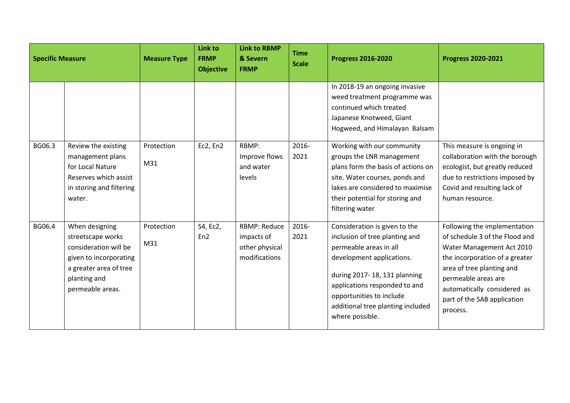| <b>Specific Measure</b> |                                                                                                                                                      | <b>Measure Type</b> | <b>Link to</b><br><b>FRMP</b><br><b>Objective</b> | <b>Link to RBMP</b><br>& Severn<br><b>FRMP</b>                       | <b>Time</b><br><b>Scale</b> | <b>Progress 2016-2020</b>                                                                                                                                                                                                                                                   | <b>Progress 2020-2021</b>                                                                                                                                                                                                                                   |
|-------------------------|------------------------------------------------------------------------------------------------------------------------------------------------------|---------------------|---------------------------------------------------|----------------------------------------------------------------------|-----------------------------|-----------------------------------------------------------------------------------------------------------------------------------------------------------------------------------------------------------------------------------------------------------------------------|-------------------------------------------------------------------------------------------------------------------------------------------------------------------------------------------------------------------------------------------------------------|
|                         |                                                                                                                                                      |                     |                                                   |                                                                      |                             | In 2018-19 an ongoing invasive<br>weed treatment programme was<br>continued which treated<br>Japanese Knotweed, Giant<br>Hogweed, and Himalayan Balsam                                                                                                                      |                                                                                                                                                                                                                                                             |
| BG06.3                  | Review the existing<br>management plans<br>for Local Nature<br>Reserves which assist<br>in storing and filtering<br>water.                           | Protection<br>M31   | Ec2, En2                                          | RBMP:<br>Improve flows<br>and water<br>levels                        | 2016-<br>2021               | Working with our community<br>groups the LNR management<br>plans form the basis of actions on<br>site. Water courses, ponds and<br>lakes are considered to maximise<br>their potential for storing and<br>filtering water                                                   | This measure is ongoing in<br>collaboration with the borough<br>ecologist, but greatly reduced<br>due to restrictions imposed by<br>Covid and resulting lack of<br>human resource.                                                                          |
| BG06.4                  | When designing<br>streetscape works<br>consideration will be<br>given to incorporating<br>a greater area of tree<br>planting and<br>permeable areas. | Protection<br>M31   | S4, Ec2,<br>En <sub>2</sub>                       | <b>RBMP: Reduce</b><br>impacts of<br>other physical<br>modifications | 2016-<br>2021               | Consideration is given to the<br>inclusion of tree planting and<br>permeable areas in all<br>development applications.<br>during 2017-18, 131 planning<br>applications responded to and<br>opportunities to include<br>additional tree planting included<br>where possible. | Following the implementation<br>of schedule 3 of the Flood and<br>Water Management Act 2010<br>the incorporation of a greater<br>area of tree planting and<br>permeable areas are<br>automatically considered as<br>part of the SAB application<br>process. |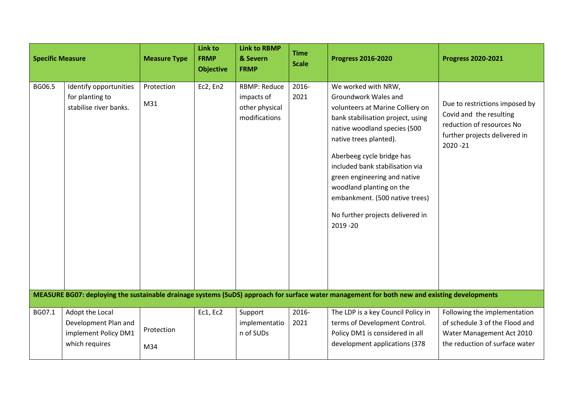| <b>Specific Measure</b> |                                                                                   | <b>Measure Type</b> | Link to<br><b>FRMP</b><br><b>Objective</b> | <b>Link to RBMP</b><br>& Severn<br><b>FRMP</b>                       | <b>Time</b><br><b>Scale</b> | <b>Progress 2016-2020</b>                                                                                                                                                                                                                                                                                                                                                                     | <b>Progress 2020-2021</b>                                                                                                              |
|-------------------------|-----------------------------------------------------------------------------------|---------------------|--------------------------------------------|----------------------------------------------------------------------|-----------------------------|-----------------------------------------------------------------------------------------------------------------------------------------------------------------------------------------------------------------------------------------------------------------------------------------------------------------------------------------------------------------------------------------------|----------------------------------------------------------------------------------------------------------------------------------------|
| BG06.5                  | Identify opportunities<br>for planting to<br>stabilise river banks.               | Protection<br>M31   | Ec2, En2                                   | <b>RBMP: Reduce</b><br>impacts of<br>other physical<br>modifications | 2016-<br>2021               | We worked with NRW,<br>Groundwork Wales and<br>volunteers at Marine Colliery on<br>bank stabilisation project, using<br>native woodland species (500<br>native trees planted).<br>Aberbeeg cycle bridge has<br>included bank stabilisation via<br>green engineering and native<br>woodland planting on the<br>embankment. (500 native trees)<br>No further projects delivered in<br>2019 - 20 | Due to restrictions imposed by<br>Covid and the resulting<br>reduction of resources No<br>further projects delivered in<br>$2020 - 21$ |
|                         |                                                                                   |                     |                                            |                                                                      |                             | MEASURE BG07: deploying the sustainable drainage systems (SuDS) approach for surface water management for both new and existing developments                                                                                                                                                                                                                                                  |                                                                                                                                        |
| BG07.1                  | Adopt the Local<br>Development Plan and<br>implement Policy DM1<br>which requires | Protection<br>M34   | Ec1, Ec2                                   | Support<br>implementatio<br>n of SUDs                                | 2016-<br>2021               | The LDP is a key Council Policy in<br>terms of Development Control.<br>Policy DM1 is considered in all<br>development applications (378                                                                                                                                                                                                                                                       | Following the implementation<br>of schedule 3 of the Flood and<br>Water Management Act 2010<br>the reduction of surface water          |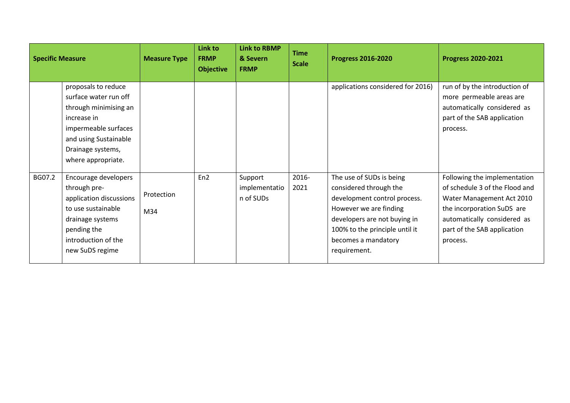| <b>Specific Measure</b> |                                                                                                                                                                                  | <b>Measure Type</b> | Link to<br><b>FRMP</b><br><b>Objective</b> | <b>Link to RBMP</b><br>& Severn<br><b>FRMP</b> | <b>Time</b><br><b>Scale</b> | <b>Progress 2016-2020</b>                                                                                                                                                                                             | <b>Progress 2020-2021</b>                                                                                                                                                                           |
|-------------------------|----------------------------------------------------------------------------------------------------------------------------------------------------------------------------------|---------------------|--------------------------------------------|------------------------------------------------|-----------------------------|-----------------------------------------------------------------------------------------------------------------------------------------------------------------------------------------------------------------------|-----------------------------------------------------------------------------------------------------------------------------------------------------------------------------------------------------|
|                         | proposals to reduce<br>surface water run off<br>through minimising an<br>increase in<br>impermeable surfaces<br>and using Sustainable<br>Drainage systems,<br>where appropriate. |                     |                                            |                                                |                             | applications considered for 2016)                                                                                                                                                                                     | run of by the introduction of<br>more permeable areas are<br>automatically considered as<br>part of the SAB application<br>process.                                                                 |
| BG07.2                  | Encourage developers<br>through pre-<br>application discussions<br>to use sustainable<br>drainage systems<br>pending the<br>introduction of the<br>new SuDS regime               | Protection<br>M34   | En <sub>2</sub>                            | Support<br>implementatio<br>n of SUDs          | 2016-<br>2021               | The use of SUDs is being<br>considered through the<br>development control process.<br>However we are finding<br>developers are not buying in<br>100% to the principle until it<br>becomes a mandatory<br>requirement. | Following the implementation<br>of schedule 3 of the Flood and<br>Water Management Act 2010<br>the incorporation SuDS are<br>automatically considered as<br>part of the SAB application<br>process. |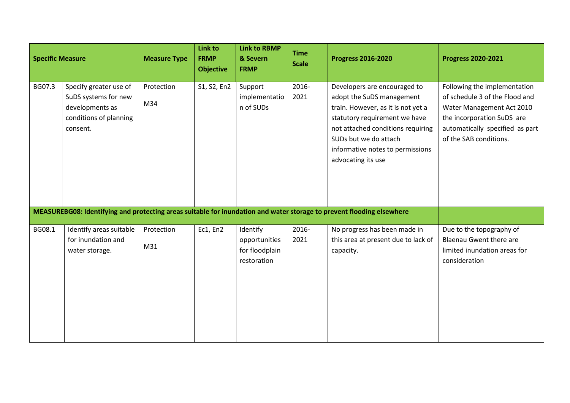| <b>Specific Measure</b> |                                                                                                         | <b>Measure Type</b> | Link to<br><b>FRMP</b><br><b>Objective</b> | <b>Link to RBMP</b><br>& Severn<br><b>FRMP</b>             | <b>Time</b><br><b>Scale</b> | <b>Progress 2016-2020</b>                                                                                                                                                                                                                                | <b>Progress 2020-2021</b>                                                                                                                                                              |
|-------------------------|---------------------------------------------------------------------------------------------------------|---------------------|--------------------------------------------|------------------------------------------------------------|-----------------------------|----------------------------------------------------------------------------------------------------------------------------------------------------------------------------------------------------------------------------------------------------------|----------------------------------------------------------------------------------------------------------------------------------------------------------------------------------------|
| BG07.3                  | Specify greater use of<br>SuDS systems for new<br>developments as<br>conditions of planning<br>consent. | Protection<br>M34   | S1, S2, En2                                | Support<br>implementatio<br>n of SUDs                      | 2016-<br>2021               | Developers are encouraged to<br>adopt the SuDS management<br>train. However, as it is not yet a<br>statutory requirement we have<br>not attached conditions requiring<br>SUDs but we do attach<br>informative notes to permissions<br>advocating its use | Following the implementation<br>of schedule 3 of the Flood and<br>Water Management Act 2010<br>the incorporation SuDS are<br>automatically specified as part<br>of the SAB conditions. |
|                         |                                                                                                         |                     |                                            |                                                            |                             | MEASUREBG08: Identifying and protecting areas suitable for inundation and water storage to prevent flooding elsewhere                                                                                                                                    |                                                                                                                                                                                        |
| BG08.1                  | Identify areas suitable<br>for inundation and<br>water storage.                                         | Protection<br>M31   | Ec1, En2                                   | Identify<br>opportunities<br>for floodplain<br>restoration | 2016-<br>2021               | No progress has been made in<br>this area at present due to lack of<br>capacity.                                                                                                                                                                         | Due to the topography of<br><b>Blaenau Gwent there are</b><br>limited inundation areas for<br>consideration                                                                            |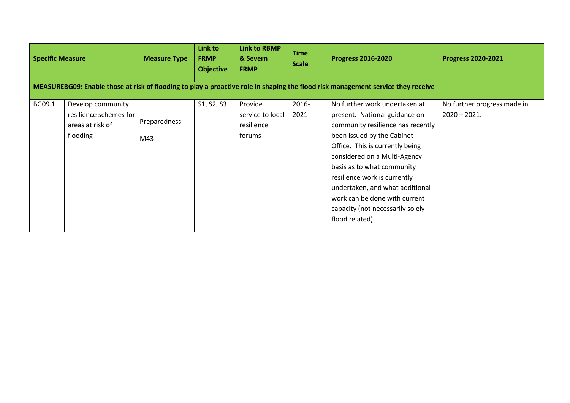| <b>Specific Measure</b> |                                                                             | <b>Measure Type</b> | Link to<br><b>FRMP</b><br><b>Objective</b> | <b>Link to RBMP</b><br>& Severn<br><b>FRMP</b>      | <b>Time</b><br><b>Scale</b> | <b>Progress 2016-2020</b>                                                                                                                                                                                                                                                                                                                                                                     | <b>Progress 2020-2021</b>                     |
|-------------------------|-----------------------------------------------------------------------------|---------------------|--------------------------------------------|-----------------------------------------------------|-----------------------------|-----------------------------------------------------------------------------------------------------------------------------------------------------------------------------------------------------------------------------------------------------------------------------------------------------------------------------------------------------------------------------------------------|-----------------------------------------------|
|                         |                                                                             |                     |                                            |                                                     |                             | MEASUREBG09: Enable those at risk of flooding to play a proactive role in shaping the flood risk management service they receive                                                                                                                                                                                                                                                              |                                               |
| BG09.1                  | Develop community<br>resilience schemes for<br>areas at risk of<br>flooding | Preparedness<br>M43 | S1, S2, S3                                 | Provide<br>service to local<br>resilience<br>forums | 2016-<br>2021               | No further work undertaken at<br>present. National guidance on<br>community resilience has recently<br>been issued by the Cabinet<br>Office. This is currently being<br>considered on a Multi-Agency<br>basis as to what community<br>resilience work is currently<br>undertaken, and what additional<br>work can be done with current<br>capacity (not necessarily solely<br>flood related). | No further progress made in<br>$2020 - 2021.$ |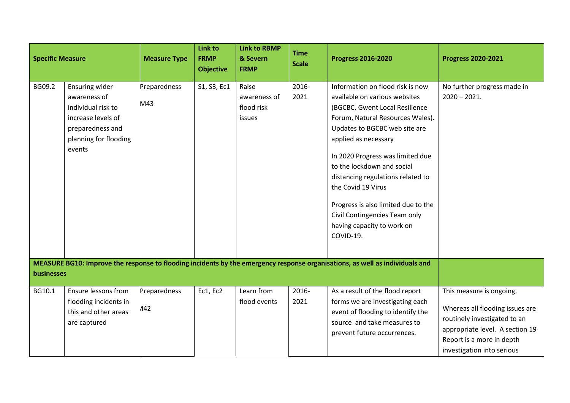| <b>Specific Measure</b>                                                                                                                    |                                                                                                                                   | <b>Measure Type</b> | <b>Link to</b><br><b>FRMP</b><br><b>Objective</b> | <b>Link to RBMP</b><br>& Severn<br><b>FRMP</b> | <b>Time</b><br><b>Scale</b> | <b>Progress 2016-2020</b>                                                                                                                                                                                                                                                                                                                                                                                                                        | <b>Progress 2020-2021</b>                                                                                                                                                                 |
|--------------------------------------------------------------------------------------------------------------------------------------------|-----------------------------------------------------------------------------------------------------------------------------------|---------------------|---------------------------------------------------|------------------------------------------------|-----------------------------|--------------------------------------------------------------------------------------------------------------------------------------------------------------------------------------------------------------------------------------------------------------------------------------------------------------------------------------------------------------------------------------------------------------------------------------------------|-------------------------------------------------------------------------------------------------------------------------------------------------------------------------------------------|
| BG09.2                                                                                                                                     | Ensuring wider<br>awareness of<br>individual risk to<br>increase levels of<br>preparedness and<br>planning for flooding<br>events | Preparedness<br>M43 | S1, S3, Ec1                                       | Raise<br>awareness of<br>flood risk<br>issues  | 2016-<br>2021               | Information on flood risk is now<br>available on various websites<br>(BGCBC, Gwent Local Resilience<br>Forum, Natural Resources Wales).<br>Updates to BGCBC web site are<br>applied as necessary<br>In 2020 Progress was limited due<br>to the lockdown and social<br>distancing regulations related to<br>the Covid 19 Virus<br>Progress is also limited due to the<br>Civil Contingencies Team only<br>having capacity to work on<br>COVID-19. | No further progress made in<br>$2020 - 2021.$                                                                                                                                             |
| MEASURE BG10: Improve the response to flooding incidents by the emergency response organisations, as well as individuals and<br>businesses |                                                                                                                                   |                     |                                                   |                                                |                             |                                                                                                                                                                                                                                                                                                                                                                                                                                                  |                                                                                                                                                                                           |
| BG10.1                                                                                                                                     | Ensure lessons from<br>flooding incidents in<br>this and other areas<br>are captured                                              | Preparedness<br>A42 | Ec1, Ec2                                          | Learn from<br>flood events                     | 2016-<br>2021               | As a result of the flood report<br>forms we are investigating each<br>event of flooding to identify the<br>source and take measures to<br>prevent future occurrences.                                                                                                                                                                                                                                                                            | This measure is ongoing.<br>Whereas all flooding issues are<br>routinely investigated to an<br>appropriate level. A section 19<br>Report is a more in depth<br>investigation into serious |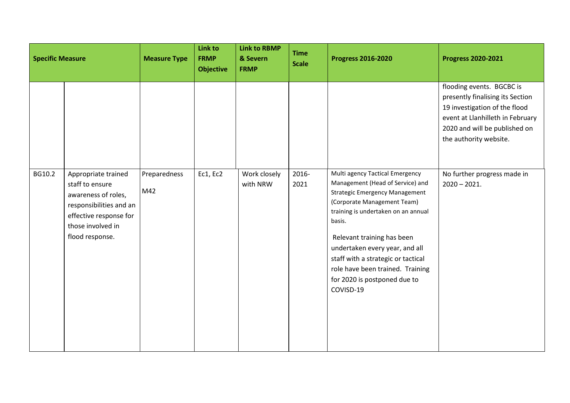| <b>Specific Measure</b> |                                                                                                                                                            | <b>Measure Type</b> | Link to<br><b>FRMP</b><br><b>Objective</b> | <b>Link to RBMP</b><br>& Severn<br><b>FRMP</b> | <b>Time</b><br><b>Scale</b> | <b>Progress 2016-2020</b>                                                                                                                                                                                                                                                                                                                                                           | <b>Progress 2020-2021</b>                                                                                                                                                                     |
|-------------------------|------------------------------------------------------------------------------------------------------------------------------------------------------------|---------------------|--------------------------------------------|------------------------------------------------|-----------------------------|-------------------------------------------------------------------------------------------------------------------------------------------------------------------------------------------------------------------------------------------------------------------------------------------------------------------------------------------------------------------------------------|-----------------------------------------------------------------------------------------------------------------------------------------------------------------------------------------------|
|                         |                                                                                                                                                            |                     |                                            |                                                |                             |                                                                                                                                                                                                                                                                                                                                                                                     | flooding events. BGCBC is<br>presently finalising its Section<br>19 investigation of the flood<br>event at Llanhilleth in February<br>2020 and will be published on<br>the authority website. |
| BG10.2                  | Appropriate trained<br>staff to ensure<br>awareness of roles,<br>responsibilities and an<br>effective response for<br>those involved in<br>flood response. | Preparedness<br>M42 | Ec1, Ec2                                   | Work closely<br>with NRW                       | 2016-<br>2021               | Multi agency Tactical Emergency<br>Management (Head of Service) and<br><b>Strategic Emergency Management</b><br>(Corporate Management Team)<br>training is undertaken on an annual<br>basis.<br>Relevant training has been<br>undertaken every year, and all<br>staff with a strategic or tactical<br>role have been trained. Training<br>for 2020 is postponed due to<br>COVISD-19 | No further progress made in<br>$2020 - 2021.$                                                                                                                                                 |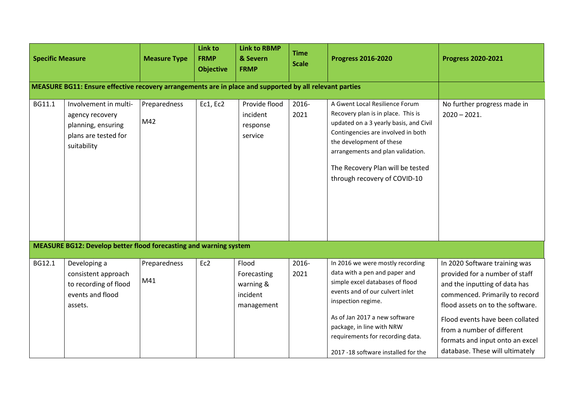| <b>Specific Measure</b> |                                                                                                         | <b>Measure Type</b> | Link to<br><b>FRMP</b><br><b>Objective</b> | <b>Link to RBMP</b><br>& Severn<br><b>FRMP</b>              | <b>Time</b><br><b>Scale</b> | <b>Progress 2016-2020</b>                                                                                                                                                                                                                                                                              | <b>Progress 2020-2021</b>                                                                                                                                                                                                                                                                                     |
|-------------------------|---------------------------------------------------------------------------------------------------------|---------------------|--------------------------------------------|-------------------------------------------------------------|-----------------------------|--------------------------------------------------------------------------------------------------------------------------------------------------------------------------------------------------------------------------------------------------------------------------------------------------------|---------------------------------------------------------------------------------------------------------------------------------------------------------------------------------------------------------------------------------------------------------------------------------------------------------------|
|                         | MEASURE BG11: Ensure effective recovery arrangements are in place and supported by all relevant parties |                     |                                            |                                                             |                             |                                                                                                                                                                                                                                                                                                        |                                                                                                                                                                                                                                                                                                               |
| BG11.1                  | Involvement in multi-<br>agency recovery<br>planning, ensuring<br>plans are tested for<br>suitability   | Preparedness<br>M42 | Ec1, Ec2                                   | Provide flood<br>incident<br>response<br>service            | 2016-<br>2021               | A Gwent Local Resilience Forum<br>Recovery plan is in place. This is<br>updated on a 3 yearly basis, and Civil<br>Contingencies are involved in both<br>the development of these<br>arrangements and plan validation.<br>The Recovery Plan will be tested<br>through recovery of COVID-10              | No further progress made in<br>$2020 - 2021.$                                                                                                                                                                                                                                                                 |
|                         | <b>MEASURE BG12: Develop better flood forecasting and warning system</b>                                |                     |                                            |                                                             |                             |                                                                                                                                                                                                                                                                                                        |                                                                                                                                                                                                                                                                                                               |
| BG12.1                  | Developing a<br>consistent approach<br>to recording of flood<br>events and flood<br>assets.             | Preparedness<br>M41 | Ec2                                        | Flood<br>Forecasting<br>warning &<br>incident<br>management | 2016-<br>2021               | In 2016 we were mostly recording<br>data with a pen and paper and<br>simple excel databases of flood<br>events and of our culvert inlet<br>inspection regime.<br>As of Jan 2017 a new software<br>package, in line with NRW<br>requirements for recording data.<br>2017 -18 software installed for the | In 2020 Software training was<br>provided for a number of staff<br>and the inputting of data has<br>commenced. Primarily to record<br>flood assets on to the software.<br>Flood events have been collated<br>from a number of different<br>formats and input onto an excel<br>database. These will ultimately |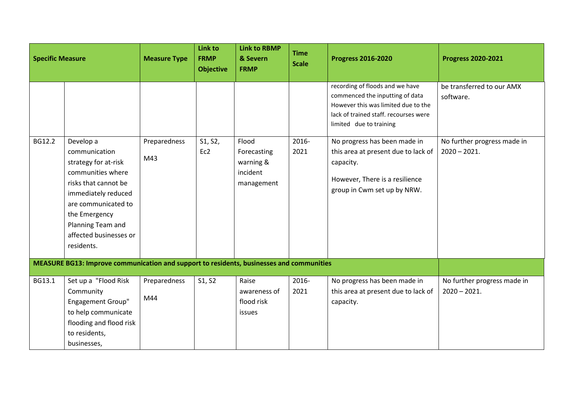| <b>Specific Measure</b> |                                                                                                                                                                                                                             | <b>Measure Type</b> | <b>Link to</b><br><b>FRMP</b><br><b>Objective</b> | <b>Link to RBMP</b><br>& Severn<br><b>FRMP</b>              | <b>Time</b><br><b>Scale</b> | <b>Progress 2016-2020</b>                                                                                                                                                     | <b>Progress 2020-2021</b>                     |
|-------------------------|-----------------------------------------------------------------------------------------------------------------------------------------------------------------------------------------------------------------------------|---------------------|---------------------------------------------------|-------------------------------------------------------------|-----------------------------|-------------------------------------------------------------------------------------------------------------------------------------------------------------------------------|-----------------------------------------------|
|                         |                                                                                                                                                                                                                             |                     |                                                   |                                                             |                             | recording of floods and we have<br>commenced the inputting of data<br>However this was limited due to the<br>lack of trained staff. recourses were<br>limited due to training | be transferred to our AMX<br>software.        |
| BG12.2                  | Develop a<br>communication<br>strategy for at-risk<br>communities where<br>risks that cannot be<br>immediately reduced<br>are communicated to<br>the Emergency<br>Planning Team and<br>affected businesses or<br>residents. | Preparedness<br>M43 | S1, S2,<br>Ec2                                    | Flood<br>Forecasting<br>warning &<br>incident<br>management | 2016-<br>2021               | No progress has been made in<br>this area at present due to lack of<br>capacity.<br>However, There is a resilience<br>group in Cwm set up by NRW.                             | No further progress made in<br>$2020 - 2021.$ |
|                         | MEASURE BG13: Improve communication and support to residents, businesses and communities                                                                                                                                    |                     |                                                   |                                                             |                             |                                                                                                                                                                               |                                               |
| BG13.1                  | Set up a "Flood Risk<br>Community<br><b>Engagement Group"</b><br>to help communicate<br>flooding and flood risk<br>to residents,<br>businesses,                                                                             | Preparedness<br>M44 | S1, S2                                            | Raise<br>awareness of<br>flood risk<br>issues               | 2016-<br>2021               | No progress has been made in<br>this area at present due to lack of<br>capacity.                                                                                              | No further progress made in<br>$2020 - 2021.$ |